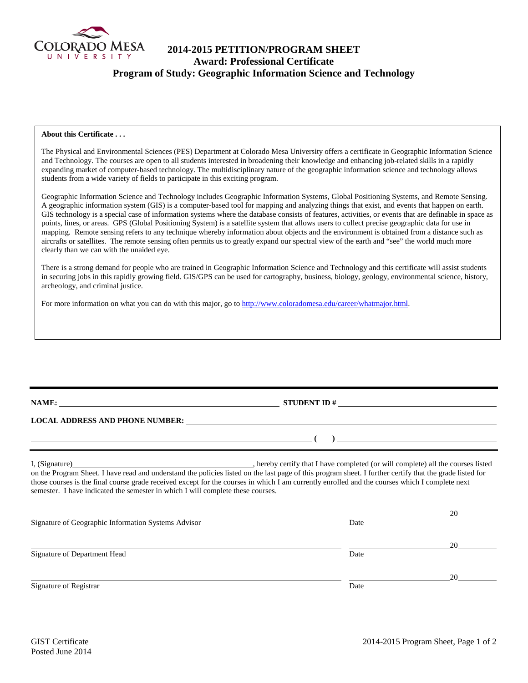

# **2014-2015 PETITION/PROGRAM SHEET Award: Professional Certificate Program of Study: Geographic Information Science and Technology**

### **About this Certificate . . .**

The Physical and Environmental Sciences (PES) Department at Colorado Mesa University offers a certificate in Geographic Information Science and Technology. The courses are open to all students interested in broadening their knowledge and enhancing job-related skills in a rapidly expanding market of computer-based technology. The multidisciplinary nature of the geographic information science and technology allows students from a wide variety of fields to participate in this exciting program.

Geographic Information Science and Technology includes Geographic Information Systems, Global Positioning Systems, and Remote Sensing. A geographic information system (GIS) is a computer-based tool for mapping and analyzing things that exist, and events that happen on earth. GIS technology is a special case of information systems where the database consists of features, activities, or events that are definable in space as points, lines, or areas. GPS (Global Positioning System) is a satellite system that allows users to collect precise geographic data for use in mapping. Remote sensing refers to any technique whereby information about objects and the environment is obtained from a distance such as aircrafts or satellites. The remote sensing often permits us to greatly expand our spectral view of the earth and "see" the world much more clearly than we can with the unaided eye.

There is a strong demand for people who are trained in Geographic Information Science and Technology and this certificate will assist students in securing jobs in this rapidly growing field. GIS/GPS can be used for cartography, business, biology, geology, environmental science, history, archeology, and criminal justice.

For more information on what you can do with this major, go t[o http://www.coloradomesa.edu/career/whatmajor.html.](http://www.coloradomesa.edu/career/whatmajor.html)

**NAME: STUDENT ID #** 

**( )** 

## **LOCAL ADDRESS AND PHONE NUMBER:**

I, (Signature) , hereby certify that I have completed (or will complete) all the courses listed on the Program Sheet. I have read and understand the policies listed on the last page of this program sheet. I further certify that the grade listed for those courses is the final course grade received except for the courses in which I am currently enrolled and the courses which I complete next semester. I have indicated the semester in which I will complete these courses.

|                                                     |      | 20 |
|-----------------------------------------------------|------|----|
| Signature of Geographic Information Systems Advisor | Date |    |
|                                                     |      | 20 |
| Signature of Department Head                        | Date |    |
|                                                     |      | 20 |
| Signature of Registrar                              | Date |    |